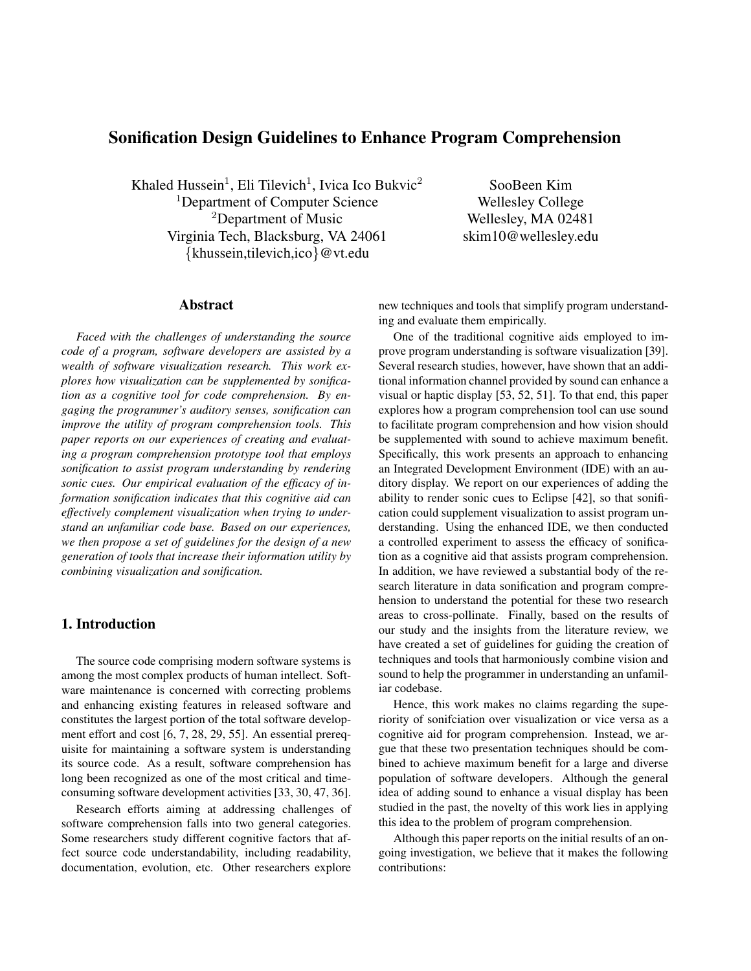# Sonification Design Guidelines to Enhance Program Comprehension

Khaled Hussein<sup>1</sup>, Eli Tilevich<sup>1</sup>, Ivica Ico Bukvic<sup>2</sup> <sup>1</sup>Department of Computer Science <sup>2</sup>Department of Music Virginia Tech, Blacksburg, VA 24061 {khussein,tilevich,ico}@vt.edu

SooBeen Kim Wellesley College Wellesley, MA 02481 skim10@wellesley.edu

### Abstract

*Faced with the challenges of understanding the source code of a program, software developers are assisted by a wealth of software visualization research. This work explores how visualization can be supplemented by sonification as a cognitive tool for code comprehension. By engaging the programmer's auditory senses, sonification can improve the utility of program comprehension tools. This paper reports on our experiences of creating and evaluating a program comprehension prototype tool that employs sonification to assist program understanding by rendering sonic cues. Our empirical evaluation of the efficacy of information sonification indicates that this cognitive aid can effectively complement visualization when trying to understand an unfamiliar code base. Based on our experiences, we then propose a set of guidelines for the design of a new generation of tools that increase their information utility by combining visualization and sonification.*

# 1. Introduction

The source code comprising modern software systems is among the most complex products of human intellect. Software maintenance is concerned with correcting problems and enhancing existing features in released software and constitutes the largest portion of the total software development effort and cost [6, 7, 28, 29, 55]. An essential prerequisite for maintaining a software system is understanding its source code. As a result, software comprehension has long been recognized as one of the most critical and timeconsuming software development activities [33, 30, 47, 36].

Research efforts aiming at addressing challenges of software comprehension falls into two general categories. Some researchers study different cognitive factors that affect source code understandability, including readability, documentation, evolution, etc. Other researchers explore new techniques and tools that simplify program understanding and evaluate them empirically.

One of the traditional cognitive aids employed to improve program understanding is software visualization [39]. Several research studies, however, have shown that an additional information channel provided by sound can enhance a visual or haptic display [53, 52, 51]. To that end, this paper explores how a program comprehension tool can use sound to facilitate program comprehension and how vision should be supplemented with sound to achieve maximum benefit. Specifically, this work presents an approach to enhancing an Integrated Development Environment (IDE) with an auditory display. We report on our experiences of adding the ability to render sonic cues to Eclipse [42], so that sonification could supplement visualization to assist program understanding. Using the enhanced IDE, we then conducted a controlled experiment to assess the efficacy of sonification as a cognitive aid that assists program comprehension. In addition, we have reviewed a substantial body of the research literature in data sonification and program comprehension to understand the potential for these two research areas to cross-pollinate. Finally, based on the results of our study and the insights from the literature review, we have created a set of guidelines for guiding the creation of techniques and tools that harmoniously combine vision and sound to help the programmer in understanding an unfamiliar codebase.

Hence, this work makes no claims regarding the superiority of sonifciation over visualization or vice versa as a cognitive aid for program comprehension. Instead, we argue that these two presentation techniques should be combined to achieve maximum benefit for a large and diverse population of software developers. Although the general idea of adding sound to enhance a visual display has been studied in the past, the novelty of this work lies in applying this idea to the problem of program comprehension.

Although this paper reports on the initial results of an ongoing investigation, we believe that it makes the following contributions: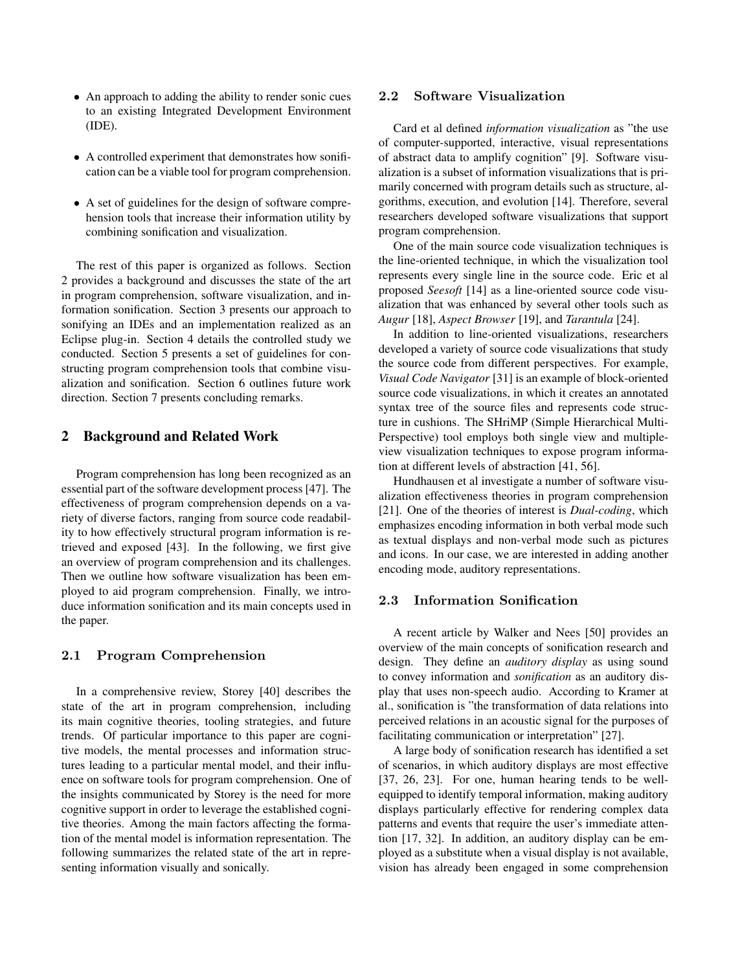- An approach to adding the ability to render sonic cues to an existing Integrated Development Environment (IDE).
- A controlled experiment that demonstrates how sonification can be a viable tool for program comprehension.
- A set of guidelines for the design of software comprehension tools that increase their information utility by combining sonification and visualization.

The rest of this paper is organized as follows. Section 2 provides a background and discusses the state of the art in program comprehension, software visualization, and information sonification. Section 3 presents our approach to sonifying an IDEs and an implementation realized as an Eclipse plug-in. Section 4 details the controlled study we conducted. Section 5 presents a set of guidelines for constructing program comprehension tools that combine visualization and sonification. Section 6 outlines future work direction. Section 7 presents concluding remarks.

### 2 Background and Related Work

Program comprehension has long been recognized as an essential part of the software development process [47]. The effectiveness of program comprehension depends on a variety of diverse factors, ranging from source code readability to how effectively structural program information is retrieved and exposed [43]. In the following, we first give an overview of program comprehension and its challenges. Then we outline how software visualization has been employed to aid program comprehension. Finally, we introduce information sonification and its main concepts used in the paper.

#### 2.1 Program Comprehension

In a comprehensive review, Storey [40] describes the state of the art in program comprehension, including its main cognitive theories, tooling strategies, and future trends. Of particular importance to this paper are cognitive models, the mental processes and information structures leading to a particular mental model, and their influence on software tools for program comprehension. One of the insights communicated by Storey is the need for more cognitive support in order to leverage the established cognitive theories. Among the main factors affecting the formation of the mental model is information representation. The following summarizes the related state of the art in representing information visually and sonically.

# 2.2 Software Visualization

Card et al defined *information visualization* as "the use of computer-supported, interactive, visual representations of abstract data to amplify cognition" [9]. Software visualization is a subset of information visualizations that is primarily concerned with program details such as structure, algorithms, execution, and evolution [14]. Therefore, several researchers developed software visualizations that support program comprehension.

One of the main source code visualization techniques is the line-oriented technique, in which the visualization tool represents every single line in the source code. Eric et al proposed *Seesoft* [14] as a line-oriented source code visualization that was enhanced by several other tools such as *Augur* [18], *Aspect Browser* [19], and *Tarantula* [24].

In addition to line-oriented visualizations, researchers developed a variety of source code visualizations that study the source code from different perspectives. For example, *Visual Code Navigator* [31] is an example of block-oriented source code visualizations, in which it creates an annotated syntax tree of the source files and represents code structure in cushions. The SHriMP (Simple Hierarchical Multi-Perspective) tool employs both single view and multipleview visualization techniques to expose program information at different levels of abstraction [41, 56].

Hundhausen et al investigate a number of software visualization effectiveness theories in program comprehension [21]. One of the theories of interest is *Dual-coding*, which emphasizes encoding information in both verbal mode such as textual displays and non-verbal mode such as pictures and icons. In our case, we are interested in adding another encoding mode, auditory representations.

### 2.3 Information Sonification

A recent article by Walker and Nees [50] provides an overview of the main concepts of sonification research and design. They define an *auditory display* as using sound to convey information and *sonification* as an auditory display that uses non-speech audio. According to Kramer at al., sonification is "the transformation of data relations into perceived relations in an acoustic signal for the purposes of facilitating communication or interpretation" [27].

A large body of sonification research has identified a set of scenarios, in which auditory displays are most effective [37, 26, 23]. For one, human hearing tends to be wellequipped to identify temporal information, making auditory displays particularly effective for rendering complex data patterns and events that require the user's immediate attention [17, 32]. In addition, an auditory display can be employed as a substitute when a visual display is not available, vision has already been engaged in some comprehension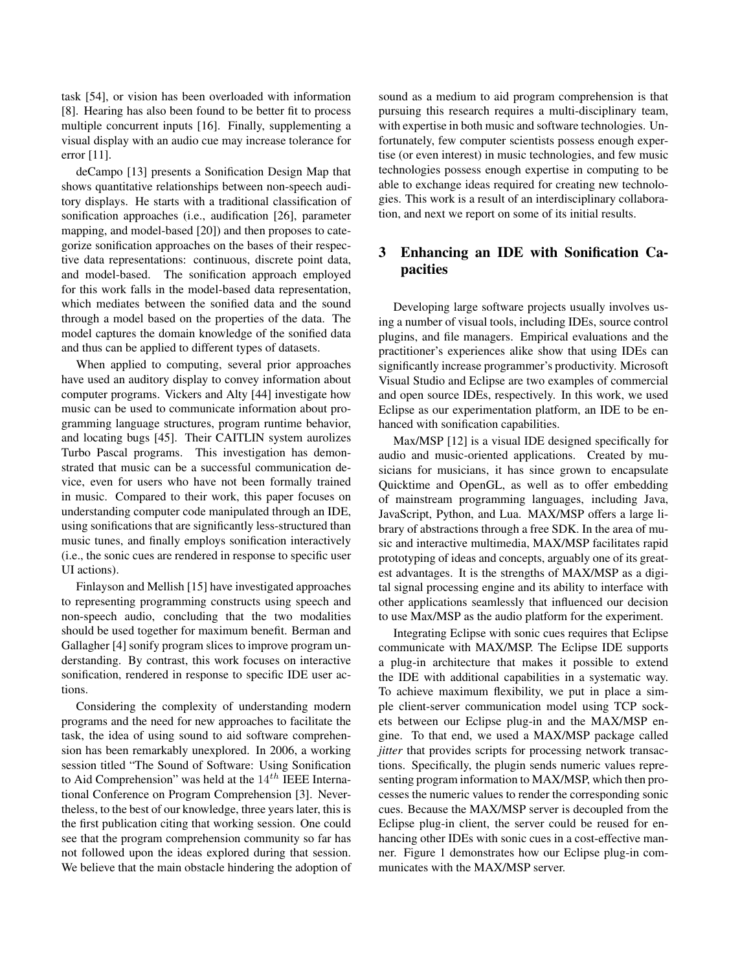task [54], or vision has been overloaded with information [8]. Hearing has also been found to be better fit to process multiple concurrent inputs [16]. Finally, supplementing a visual display with an audio cue may increase tolerance for error [11].

deCampo [13] presents a Sonification Design Map that shows quantitative relationships between non-speech auditory displays. He starts with a traditional classification of sonification approaches (i.e., audification [26], parameter mapping, and model-based [20]) and then proposes to categorize sonification approaches on the bases of their respective data representations: continuous, discrete point data, and model-based. The sonification approach employed for this work falls in the model-based data representation, which mediates between the sonified data and the sound through a model based on the properties of the data. The model captures the domain knowledge of the sonified data and thus can be applied to different types of datasets.

When applied to computing, several prior approaches have used an auditory display to convey information about computer programs. Vickers and Alty [44] investigate how music can be used to communicate information about programming language structures, program runtime behavior, and locating bugs [45]. Their CAITLIN system aurolizes Turbo Pascal programs. This investigation has demonstrated that music can be a successful communication device, even for users who have not been formally trained in music. Compared to their work, this paper focuses on understanding computer code manipulated through an IDE, using sonifications that are significantly less-structured than music tunes, and finally employs sonification interactively (i.e., the sonic cues are rendered in response to specific user UI actions).

Finlayson and Mellish [15] have investigated approaches to representing programming constructs using speech and non-speech audio, concluding that the two modalities should be used together for maximum benefit. Berman and Gallagher [4] sonify program slices to improve program understanding. By contrast, this work focuses on interactive sonification, rendered in response to specific IDE user actions.

Considering the complexity of understanding modern programs and the need for new approaches to facilitate the task, the idea of using sound to aid software comprehension has been remarkably unexplored. In 2006, a working session titled "The Sound of Software: Using Sonification to Aid Comprehension" was held at the  $14^{th}$  IEEE International Conference on Program Comprehension [3]. Nevertheless, to the best of our knowledge, three years later, this is the first publication citing that working session. One could see that the program comprehension community so far has not followed upon the ideas explored during that session. We believe that the main obstacle hindering the adoption of sound as a medium to aid program comprehension is that pursuing this research requires a multi-disciplinary team, with expertise in both music and software technologies. Unfortunately, few computer scientists possess enough expertise (or even interest) in music technologies, and few music technologies possess enough expertise in computing to be able to exchange ideas required for creating new technologies. This work is a result of an interdisciplinary collaboration, and next we report on some of its initial results.

# 3 Enhancing an IDE with Sonification Capacities

Developing large software projects usually involves using a number of visual tools, including IDEs, source control plugins, and file managers. Empirical evaluations and the practitioner's experiences alike show that using IDEs can significantly increase programmer's productivity. Microsoft Visual Studio and Eclipse are two examples of commercial and open source IDEs, respectively. In this work, we used Eclipse as our experimentation platform, an IDE to be enhanced with sonification capabilities.

Max/MSP [12] is a visual IDE designed specifically for audio and music-oriented applications. Created by musicians for musicians, it has since grown to encapsulate Quicktime and OpenGL, as well as to offer embedding of mainstream programming languages, including Java, JavaScript, Python, and Lua. MAX/MSP offers a large library of abstractions through a free SDK. In the area of music and interactive multimedia, MAX/MSP facilitates rapid prototyping of ideas and concepts, arguably one of its greatest advantages. It is the strengths of MAX/MSP as a digital signal processing engine and its ability to interface with other applications seamlessly that influenced our decision to use Max/MSP as the audio platform for the experiment.

Integrating Eclipse with sonic cues requires that Eclipse communicate with MAX/MSP. The Eclipse IDE supports a plug-in architecture that makes it possible to extend the IDE with additional capabilities in a systematic way. To achieve maximum flexibility, we put in place a simple client-server communication model using TCP sockets between our Eclipse plug-in and the MAX/MSP engine. To that end, we used a MAX/MSP package called *jitter* that provides scripts for processing network transactions. Specifically, the plugin sends numeric values representing program information to MAX/MSP, which then processes the numeric values to render the corresponding sonic cues. Because the MAX/MSP server is decoupled from the Eclipse plug-in client, the server could be reused for enhancing other IDEs with sonic cues in a cost-effective manner. Figure 1 demonstrates how our Eclipse plug-in communicates with the MAX/MSP server.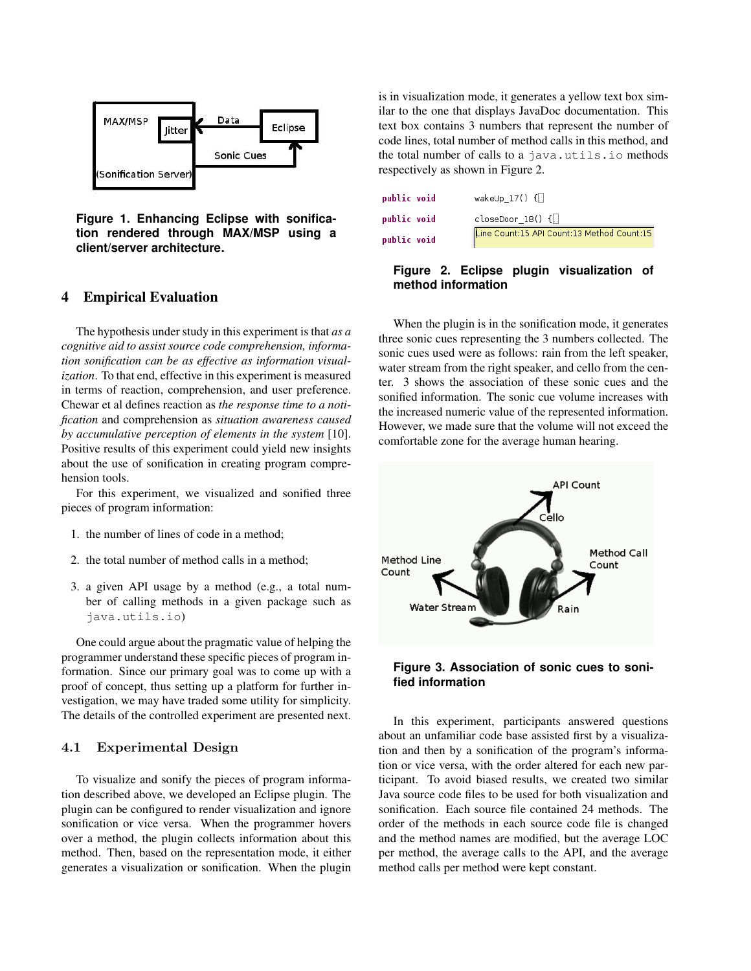

**Figure 1. Enhancing Eclipse with sonification rendered through MAX/MSP using a client/server architecture.**

### 4 Empirical Evaluation

The hypothesis under study in this experiment is that *as a cognitive aid to assist source code comprehension, information sonification can be as effective as information visualization*. To that end, effective in this experiment is measured in terms of reaction, comprehension, and user preference. Chewar et al defines reaction as *the response time to a notification* and comprehension as *situation awareness caused by accumulative perception of elements in the system* [10]. Positive results of this experiment could yield new insights about the use of sonification in creating program comprehension tools.

For this experiment, we visualized and sonified three pieces of program information:

- 1. the number of lines of code in a method;
- 2. the total number of method calls in a method;
- 3. a given API usage by a method (e.g., a total number of calling methods in a given package such as java.utils.io)

One could argue about the pragmatic value of helping the programmer understand these specific pieces of program information. Since our primary goal was to come up with a proof of concept, thus setting up a platform for further investigation, we may have traded some utility for simplicity. The details of the controlled experiment are presented next.

### 4.1 Experimental Design

To visualize and sonify the pieces of program information described above, we developed an Eclipse plugin. The plugin can be configured to render visualization and ignore sonification or vice versa. When the programmer hovers over a method, the plugin collects information about this method. Then, based on the representation mode, it either generates a visualization or sonification. When the plugin is in visualization mode, it generates a yellow text box similar to the one that displays JavaDoc documentation. This text box contains 3 numbers that represent the number of code lines, total number of method calls in this method, and the total number of calls to a java.utils.io methods respectively as shown in Figure 2.

| public void | wakeUp $17()$ $\{$ .                       |
|-------------|--------------------------------------------|
| public void | $closeDoor$ 18() $\{$                      |
| public void | Line Count:15 API Count:13 Method Count:15 |

# **Figure 2. Eclipse plugin visualization of method information**

When the plugin is in the sonification mode, it generates three sonic cues representing the 3 numbers collected. The sonic cues used were as follows: rain from the left speaker, water stream from the right speaker, and cello from the center. 3 shows the association of these sonic cues and the sonified information. The sonic cue volume increases with the increased numeric value of the represented information. However, we made sure that the volume will not exceed the comfortable zone for the average human hearing.



## **Figure 3. Association of sonic cues to sonified information**

In this experiment, participants answered questions about an unfamiliar code base assisted first by a visualization and then by a sonification of the program's information or vice versa, with the order altered for each new participant. To avoid biased results, we created two similar Java source code files to be used for both visualization and sonification. Each source file contained 24 methods. The order of the methods in each source code file is changed and the method names are modified, but the average LOC per method, the average calls to the API, and the average method calls per method were kept constant.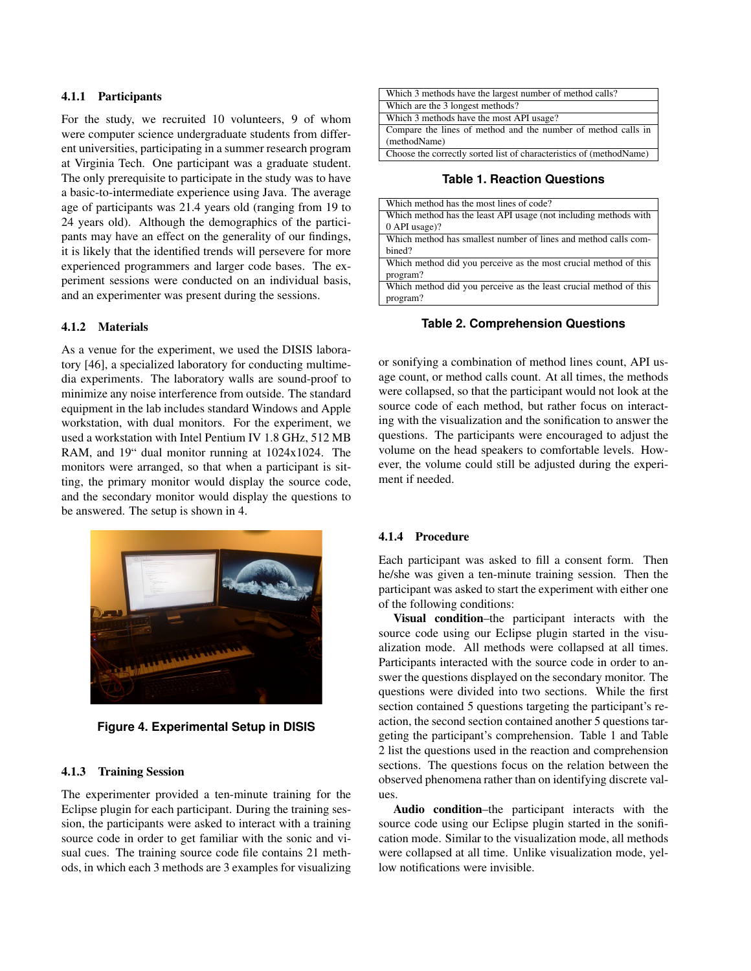### 4.1.1 Participants

For the study, we recruited 10 volunteers, 9 of whom were computer science undergraduate students from different universities, participating in a summer research program at Virginia Tech. One participant was a graduate student. The only prerequisite to participate in the study was to have a basic-to-intermediate experience using Java. The average age of participants was 21.4 years old (ranging from 19 to 24 years old). Although the demographics of the participants may have an effect on the generality of our findings, it is likely that the identified trends will persevere for more experienced programmers and larger code bases. The experiment sessions were conducted on an individual basis, and an experimenter was present during the sessions.

### 4.1.2 Materials

As a venue for the experiment, we used the DISIS laboratory [46], a specialized laboratory for conducting multimedia experiments. The laboratory walls are sound-proof to minimize any noise interference from outside. The standard equipment in the lab includes standard Windows and Apple workstation, with dual monitors. For the experiment, we used a workstation with Intel Pentium IV 1.8 GHz, 512 MB RAM, and 19" dual monitor running at 1024x1024. The monitors were arranged, so that when a participant is sitting, the primary monitor would display the source code, and the secondary monitor would display the questions to be answered. The setup is shown in 4.



**Figure 4. Experimental Setup in DISIS**

### 4.1.3 Training Session

The experimenter provided a ten-minute training for the Eclipse plugin for each participant. During the training session, the participants were asked to interact with a training source code in order to get familiar with the sonic and visual cues. The training source code file contains 21 methods, in which each 3 methods are 3 examples for visualizing

| Which 3 methods have the largest number of method calls?             |  |
|----------------------------------------------------------------------|--|
| Which are the 3 longest methods?                                     |  |
| Which 3 methods have the most API usage?                             |  |
| Compare the lines of method and the number of method calls in        |  |
| (methodName)                                                         |  |
| Choose the correctly sorted list of characteristics of (method Name) |  |
|                                                                      |  |

### **Table 1. Reaction Questions**

| Which method has the most lines of code?                          |
|-------------------------------------------------------------------|
| Which method has the least API usage (not including methods with  |
| $0$ API usage)?                                                   |
| Which method has smallest number of lines and method calls com-   |
| bined?                                                            |
| Which method did you perceive as the most crucial method of this  |
| program?                                                          |
| Which method did you perceive as the least crucial method of this |
| program?                                                          |

### **Table 2. Comprehension Questions**

or sonifying a combination of method lines count, API usage count, or method calls count. At all times, the methods were collapsed, so that the participant would not look at the source code of each method, but rather focus on interacting with the visualization and the sonification to answer the questions. The participants were encouraged to adjust the volume on the head speakers to comfortable levels. However, the volume could still be adjusted during the experiment if needed.

#### 4.1.4 Procedure

Each participant was asked to fill a consent form. Then he/she was given a ten-minute training session. Then the participant was asked to start the experiment with either one of the following conditions:

Visual condition–the participant interacts with the source code using our Eclipse plugin started in the visualization mode. All methods were collapsed at all times. Participants interacted with the source code in order to answer the questions displayed on the secondary monitor. The questions were divided into two sections. While the first section contained 5 questions targeting the participant's reaction, the second section contained another 5 questions targeting the participant's comprehension. Table 1 and Table 2 list the questions used in the reaction and comprehension sections. The questions focus on the relation between the observed phenomena rather than on identifying discrete values.

Audio condition–the participant interacts with the source code using our Eclipse plugin started in the sonification mode. Similar to the visualization mode, all methods were collapsed at all time. Unlike visualization mode, yellow notifications were invisible.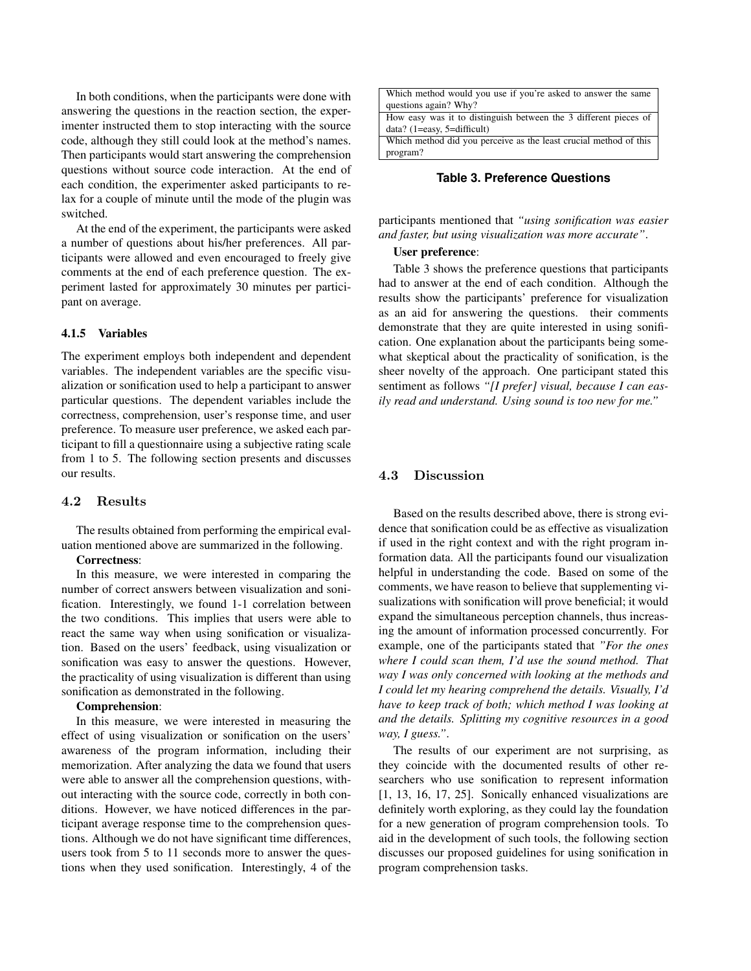In both conditions, when the participants were done with answering the questions in the reaction section, the experimenter instructed them to stop interacting with the source code, although they still could look at the method's names. Then participants would start answering the comprehension questions without source code interaction. At the end of each condition, the experimenter asked participants to relax for a couple of minute until the mode of the plugin was switched.

At the end of the experiment, the participants were asked a number of questions about his/her preferences. All participants were allowed and even encouraged to freely give comments at the end of each preference question. The experiment lasted for approximately 30 minutes per participant on average.

### 4.1.5 Variables

The experiment employs both independent and dependent variables. The independent variables are the specific visualization or sonification used to help a participant to answer particular questions. The dependent variables include the correctness, comprehension, user's response time, and user preference. To measure user preference, we asked each participant to fill a questionnaire using a subjective rating scale from 1 to 5. The following section presents and discusses our results.

#### 4.2 Results

The results obtained from performing the empirical evaluation mentioned above are summarized in the following.

# Correctness:

In this measure, we were interested in comparing the number of correct answers between visualization and sonification. Interestingly, we found 1-1 correlation between the two conditions. This implies that users were able to react the same way when using sonification or visualization. Based on the users' feedback, using visualization or sonification was easy to answer the questions. However, the practicality of using visualization is different than using sonification as demonstrated in the following.

### Comprehension:

In this measure, we were interested in measuring the effect of using visualization or sonification on the users' awareness of the program information, including their memorization. After analyzing the data we found that users were able to answer all the comprehension questions, without interacting with the source code, correctly in both conditions. However, we have noticed differences in the participant average response time to the comprehension questions. Although we do not have significant time differences, users took from 5 to 11 seconds more to answer the questions when they used sonification. Interestingly, 4 of the

| Which method would you use if you're asked to answer the same<br>questions again? Why? |  |
|----------------------------------------------------------------------------------------|--|
| How easy was it to distinguish between the 3 different pieces of                       |  |
| $data?$ (1=easy, 5=difficult)                                                          |  |
| Which method did you perceive as the least crucial method of this<br>program?          |  |

#### **Table 3. Preference Questions**

participants mentioned that *"using sonification was easier and faster, but using visualization was more accurate"*.

### User preference:

Table 3 shows the preference questions that participants had to answer at the end of each condition. Although the results show the participants' preference for visualization as an aid for answering the questions. their comments demonstrate that they are quite interested in using sonification. One explanation about the participants being somewhat skeptical about the practicality of sonification, is the sheer novelty of the approach. One participant stated this sentiment as follows *"[I prefer] visual, because I can easily read and understand. Using sound is too new for me."*

### 4.3 Discussion

Based on the results described above, there is strong evidence that sonification could be as effective as visualization if used in the right context and with the right program information data. All the participants found our visualization helpful in understanding the code. Based on some of the comments, we have reason to believe that supplementing visualizations with sonification will prove beneficial; it would expand the simultaneous perception channels, thus increasing the amount of information processed concurrently. For example, one of the participants stated that *"For the ones where I could scan them, I'd use the sound method. That way I was only concerned with looking at the methods and I could let my hearing comprehend the details. Visually, I'd have to keep track of both; which method I was looking at and the details. Splitting my cognitive resources in a good way, I guess."*.

The results of our experiment are not surprising, as they coincide with the documented results of other researchers who use sonification to represent information [1, 13, 16, 17, 25]. Sonically enhanced visualizations are definitely worth exploring, as they could lay the foundation for a new generation of program comprehension tools. To aid in the development of such tools, the following section discusses our proposed guidelines for using sonification in program comprehension tasks.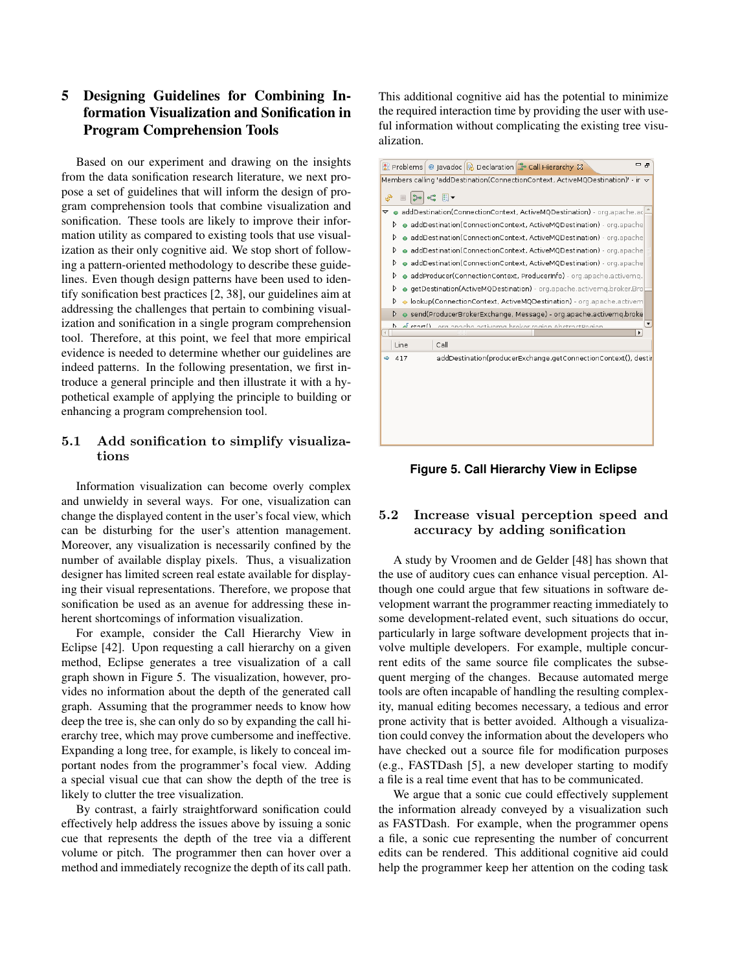# 5 Designing Guidelines for Combining Information Visualization and Sonification in Program Comprehension Tools

Based on our experiment and drawing on the insights from the data sonification research literature, we next propose a set of guidelines that will inform the design of program comprehension tools that combine visualization and sonification. These tools are likely to improve their information utility as compared to existing tools that use visualization as their only cognitive aid. We stop short of following a pattern-oriented methodology to describe these guidelines. Even though design patterns have been used to identify sonification best practices [2, 38], our guidelines aim at addressing the challenges that pertain to combining visualization and sonification in a single program comprehension tool. Therefore, at this point, we feel that more empirical evidence is needed to determine whether our guidelines are indeed patterns. In the following presentation, we first introduce a general principle and then illustrate it with a hypothetical example of applying the principle to building or enhancing a program comprehension tool.

# 5.1 Add sonification to simplify visualizations

Information visualization can become overly complex and unwieldy in several ways. For one, visualization can change the displayed content in the user's focal view, which can be disturbing for the user's attention management. Moreover, any visualization is necessarily confined by the number of available display pixels. Thus, a visualization designer has limited screen real estate available for displaying their visual representations. Therefore, we propose that sonification be used as an avenue for addressing these inherent shortcomings of information visualization.

For example, consider the Call Hierarchy View in Eclipse [42]. Upon requesting a call hierarchy on a given method, Eclipse generates a tree visualization of a call graph shown in Figure 5. The visualization, however, provides no information about the depth of the generated call graph. Assuming that the programmer needs to know how deep the tree is, she can only do so by expanding the call hierarchy tree, which may prove cumbersome and ineffective. Expanding a long tree, for example, is likely to conceal important nodes from the programmer's focal view. Adding a special visual cue that can show the depth of the tree is likely to clutter the tree visualization.

By contrast, a fairly straightforward sonification could effectively help address the issues above by issuing a sonic cue that represents the depth of the tree via a different volume or pitch. The programmer then can hover over a method and immediately recognize the depth of its call path.

This additional cognitive aid has the potential to minimize the required interaction time by providing the user with useful information without complicating the existing tree visualization.



**Figure 5. Call Hierarchy View in Eclipse**

# 5.2 Increase visual perception speed and accuracy by adding sonification

A study by Vroomen and de Gelder [48] has shown that the use of auditory cues can enhance visual perception. Although one could argue that few situations in software development warrant the programmer reacting immediately to some development-related event, such situations do occur, particularly in large software development projects that involve multiple developers. For example, multiple concurrent edits of the same source file complicates the subsequent merging of the changes. Because automated merge tools are often incapable of handling the resulting complexity, manual editing becomes necessary, a tedious and error prone activity that is better avoided. Although a visualization could convey the information about the developers who have checked out a source file for modification purposes (e.g., FASTDash [5], a new developer starting to modify a file is a real time event that has to be communicated.

We argue that a sonic cue could effectively supplement the information already conveyed by a visualization such as FASTDash. For example, when the programmer opens a file, a sonic cue representing the number of concurrent edits can be rendered. This additional cognitive aid could help the programmer keep her attention on the coding task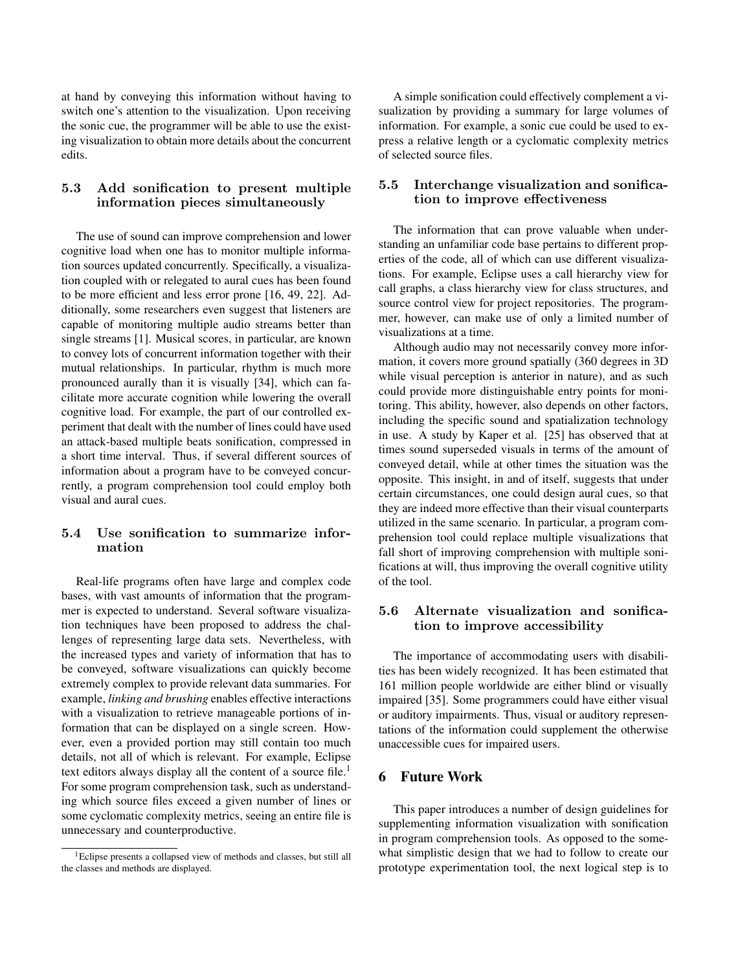at hand by conveying this information without having to switch one's attention to the visualization. Upon receiving the sonic cue, the programmer will be able to use the existing visualization to obtain more details about the concurrent edits.

# 5.3 Add sonification to present multiple information pieces simultaneously

The use of sound can improve comprehension and lower cognitive load when one has to monitor multiple information sources updated concurrently. Specifically, a visualization coupled with or relegated to aural cues has been found to be more efficient and less error prone [16, 49, 22]. Additionally, some researchers even suggest that listeners are capable of monitoring multiple audio streams better than single streams [1]. Musical scores, in particular, are known to convey lots of concurrent information together with their mutual relationships. In particular, rhythm is much more pronounced aurally than it is visually [34], which can facilitate more accurate cognition while lowering the overall cognitive load. For example, the part of our controlled experiment that dealt with the number of lines could have used an attack-based multiple beats sonification, compressed in a short time interval. Thus, if several different sources of information about a program have to be conveyed concurrently, a program comprehension tool could employ both visual and aural cues.

# 5.4 Use sonification to summarize information

Real-life programs often have large and complex code bases, with vast amounts of information that the programmer is expected to understand. Several software visualization techniques have been proposed to address the challenges of representing large data sets. Nevertheless, with the increased types and variety of information that has to be conveyed, software visualizations can quickly become extremely complex to provide relevant data summaries. For example, *linking and brushing* enables effective interactions with a visualization to retrieve manageable portions of information that can be displayed on a single screen. However, even a provided portion may still contain too much details, not all of which is relevant. For example, Eclipse text editors always display all the content of a source file.<sup>1</sup> For some program comprehension task, such as understanding which source files exceed a given number of lines or some cyclomatic complexity metrics, seeing an entire file is unnecessary and counterproductive.

A simple sonification could effectively complement a visualization by providing a summary for large volumes of information. For example, a sonic cue could be used to express a relative length or a cyclomatic complexity metrics of selected source files.

### 5.5 Interchange visualization and sonification to improve effectiveness

The information that can prove valuable when understanding an unfamiliar code base pertains to different properties of the code, all of which can use different visualizations. For example, Eclipse uses a call hierarchy view for call graphs, a class hierarchy view for class structures, and source control view for project repositories. The programmer, however, can make use of only a limited number of visualizations at a time.

Although audio may not necessarily convey more information, it covers more ground spatially (360 degrees in 3D while visual perception is anterior in nature), and as such could provide more distinguishable entry points for monitoring. This ability, however, also depends on other factors, including the specific sound and spatialization technology in use. A study by Kaper et al. [25] has observed that at times sound superseded visuals in terms of the amount of conveyed detail, while at other times the situation was the opposite. This insight, in and of itself, suggests that under certain circumstances, one could design aural cues, so that they are indeed more effective than their visual counterparts utilized in the same scenario. In particular, a program comprehension tool could replace multiple visualizations that fall short of improving comprehension with multiple sonifications at will, thus improving the overall cognitive utility of the tool.

### 5.6 Alternate visualization and sonification to improve accessibility

The importance of accommodating users with disabilities has been widely recognized. It has been estimated that 161 million people worldwide are either blind or visually impaired [35]. Some programmers could have either visual or auditory impairments. Thus, visual or auditory representations of the information could supplement the otherwise unaccessible cues for impaired users.

# 6 Future Work

This paper introduces a number of design guidelines for supplementing information visualization with sonification in program comprehension tools. As opposed to the somewhat simplistic design that we had to follow to create our prototype experimentation tool, the next logical step is to

<sup>1</sup>Eclipse presents a collapsed view of methods and classes, but still all the classes and methods are displayed.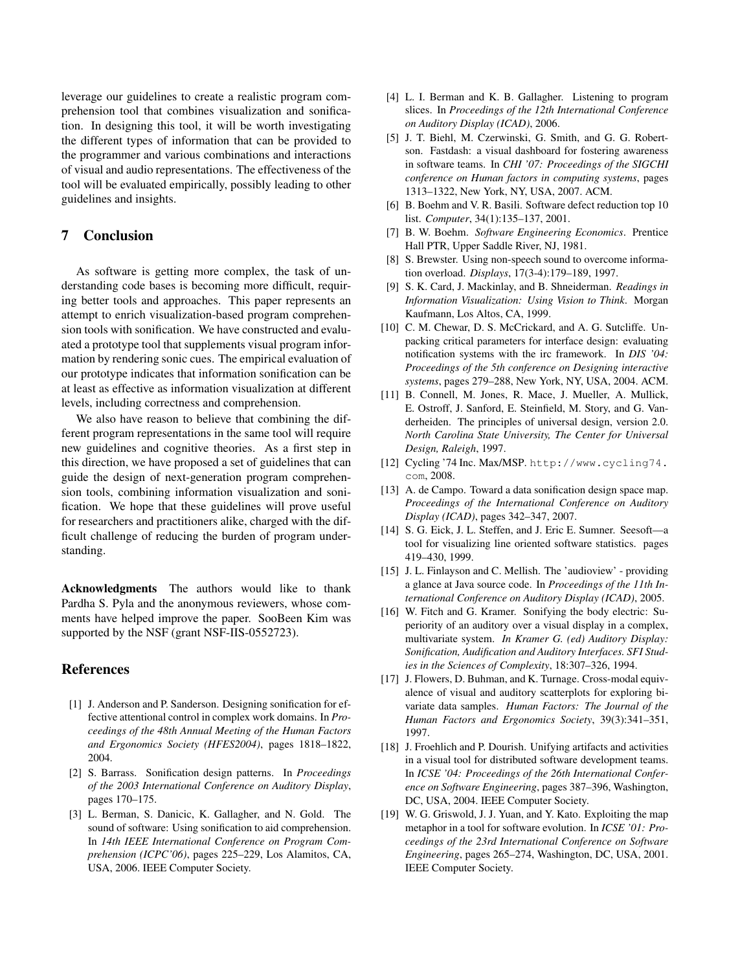leverage our guidelines to create a realistic program comprehension tool that combines visualization and sonification. In designing this tool, it will be worth investigating the different types of information that can be provided to the programmer and various combinations and interactions of visual and audio representations. The effectiveness of the tool will be evaluated empirically, possibly leading to other guidelines and insights.

# 7 Conclusion

As software is getting more complex, the task of understanding code bases is becoming more difficult, requiring better tools and approaches. This paper represents an attempt to enrich visualization-based program comprehension tools with sonification. We have constructed and evaluated a prototype tool that supplements visual program information by rendering sonic cues. The empirical evaluation of our prototype indicates that information sonification can be at least as effective as information visualization at different levels, including correctness and comprehension.

We also have reason to believe that combining the different program representations in the same tool will require new guidelines and cognitive theories. As a first step in this direction, we have proposed a set of guidelines that can guide the design of next-generation program comprehension tools, combining information visualization and sonification. We hope that these guidelines will prove useful for researchers and practitioners alike, charged with the difficult challenge of reducing the burden of program understanding.

Acknowledgments The authors would like to thank Pardha S. Pyla and the anonymous reviewers, whose comments have helped improve the paper. SooBeen Kim was supported by the NSF (grant NSF-IIS-0552723).

### References

- [1] J. Anderson and P. Sanderson. Designing sonification for effective attentional control in complex work domains. In *Proceedings of the 48th Annual Meeting of the Human Factors and Ergonomics Society (HFES2004)*, pages 1818–1822, 2004.
- [2] S. Barrass. Sonification design patterns. In *Proceedings of the 2003 International Conference on Auditory Display*, pages 170–175.
- [3] L. Berman, S. Danicic, K. Gallagher, and N. Gold. The sound of software: Using sonification to aid comprehension. In *14th IEEE International Conference on Program Comprehension (ICPC'06)*, pages 225–229, Los Alamitos, CA, USA, 2006. IEEE Computer Society.
- [4] L. I. Berman and K. B. Gallagher. Listening to program slices. In *Proceedings of the 12th International Conference on Auditory Display (ICAD)*, 2006.
- [5] J. T. Biehl, M. Czerwinski, G. Smith, and G. G. Robertson. Fastdash: a visual dashboard for fostering awareness in software teams. In *CHI '07: Proceedings of the SIGCHI conference on Human factors in computing systems*, pages 1313–1322, New York, NY, USA, 2007. ACM.
- [6] B. Boehm and V. R. Basili. Software defect reduction top 10 list. *Computer*, 34(1):135–137, 2001.
- [7] B. W. Boehm. *Software Engineering Economics*. Prentice Hall PTR, Upper Saddle River, NJ, 1981.
- [8] S. Brewster. Using non-speech sound to overcome information overload. *Displays*, 17(3-4):179–189, 1997.
- [9] S. K. Card, J. Mackinlay, and B. Shneiderman. *Readings in Information Visualization: Using Vision to Think*. Morgan Kaufmann, Los Altos, CA, 1999.
- [10] C. M. Chewar, D. S. McCrickard, and A. G. Sutcliffe. Unpacking critical parameters for interface design: evaluating notification systems with the irc framework. In *DIS '04: Proceedings of the 5th conference on Designing interactive systems*, pages 279–288, New York, NY, USA, 2004. ACM.
- [11] B. Connell, M. Jones, R. Mace, J. Mueller, A. Mullick, E. Ostroff, J. Sanford, E. Steinfield, M. Story, and G. Vanderheiden. The principles of universal design, version 2.0. *North Carolina State University, The Center for Universal Design, Raleigh*, 1997.
- [12] Cycling '74 Inc. Max/MSP. http://www.cycling74. com, 2008.
- [13] A. de Campo. Toward a data sonification design space map. *Proceedings of the International Conference on Auditory Display (ICAD)*, pages 342–347, 2007.
- [14] S. G. Eick, J. L. Steffen, and J. Eric E. Sumner. Seesoft—a tool for visualizing line oriented software statistics. pages 419–430, 1999.
- [15] J. L. Finlayson and C. Mellish. The 'audioview' providing a glance at Java source code. In *Proceedings of the 11th International Conference on Auditory Display (ICAD)*, 2005.
- [16] W. Fitch and G. Kramer. Sonifying the body electric: Superiority of an auditory over a visual display in a complex, multivariate system. *In Kramer G. (ed) Auditory Display: Sonification, Audification and Auditory Interfaces. SFI Studies in the Sciences of Complexity*, 18:307–326, 1994.
- [17] J. Flowers, D. Buhman, and K. Turnage. Cross-modal equivalence of visual and auditory scatterplots for exploring bivariate data samples. *Human Factors: The Journal of the Human Factors and Ergonomics Society*, 39(3):341–351, 1997.
- [18] J. Froehlich and P. Dourish. Unifying artifacts and activities in a visual tool for distributed software development teams. In *ICSE '04: Proceedings of the 26th International Conference on Software Engineering*, pages 387–396, Washington, DC, USA, 2004. IEEE Computer Society.
- [19] W. G. Griswold, J. J. Yuan, and Y. Kato. Exploiting the map metaphor in a tool for software evolution. In *ICSE '01: Proceedings of the 23rd International Conference on Software Engineering*, pages 265–274, Washington, DC, USA, 2001. IEEE Computer Society.